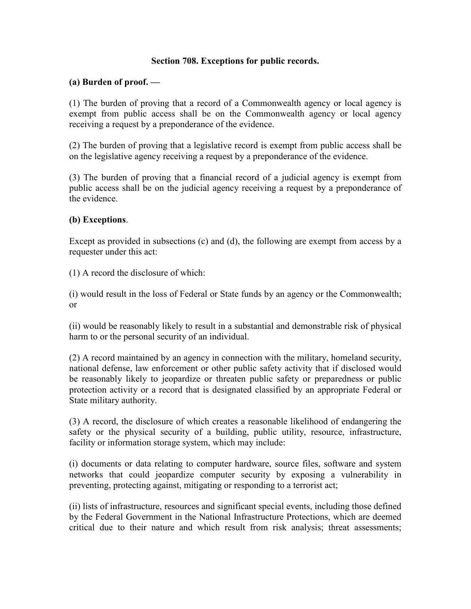## Section 708. Exceptions for public records.

## (a) Burden of proof. —

(1) The burden of proving that a record of a Commonwealth agency or local agency is exempt from public access shall be on the Commonwealth agency or local agency receiving a request by a preponderance of the evidence.

(2) The burden of proving that a legislative record is exempt from public access shall be on the legislative agency receiving a request by a preponderance of the evidence.

(3) The burden of proving that a financial record of a judicial agency is exempt from public access shall be on the judicial agency receiving a request by a preponderance of the evidence.

## (b) Exceptions.

Except as provided in subsections (c) and (d), the following are exempt from access by a requester under this act:

(1) A record the disclosure of which:

(i) would result in the loss of Federal or State funds by an agency or the Commonwealth; or

(ii) would be reasonably likely to result in a substantial and demonstrable risk of physical harm to or the personal security of an individual.

(2) A record maintained by an agency in connection with the military, homeland security, national defense, law enforcement or other public safety activity that if disclosed would be reasonably likely to jeopardize or threaten public safety or preparedness or public protection activity or a record that is designated classified by an appropriate Federal or State military authority.

(3) A record, the disclosure of which creates a reasonable likelihood of endangering the safety or the physical security of a building, public utility, resource, infrastructure, facility or information storage system, which may include:

(i) documents or data relating to computer hardware, source files, software and system networks that could jeopardize computer security by exposing a vulnerability in preventing, protecting against, mitigating or responding to a terrorist act;

(ii) lists of infrastructure, resources and significant special events, including those defined by the Federal Government in the National Infrastructure Protections, which are deemed critical due to their nature and which result from risk analysis; threat assessments;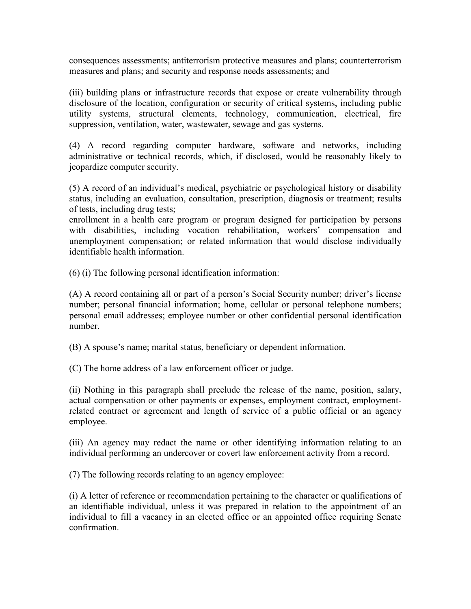consequences assessments; antiterrorism protective measures and plans; counterterrorism measures and plans; and security and response needs assessments; and

(iii) building plans or infrastructure records that expose or create vulnerability through disclosure of the location, configuration or security of critical systems, including public utility systems, structural elements, technology, communication, electrical, fire suppression, ventilation, water, wastewater, sewage and gas systems.

(4) A record regarding computer hardware, software and networks, including administrative or technical records, which, if disclosed, would be reasonably likely to jeopardize computer security.

(5) A record of an individual's medical, psychiatric or psychological history or disability status, including an evaluation, consultation, prescription, diagnosis or treatment; results of tests, including drug tests;

enrollment in a health care program or program designed for participation by persons with disabilities, including vocation rehabilitation, workers' compensation and unemployment compensation; or related information that would disclose individually identifiable health information.

(6) (i) The following personal identification information:

(A) A record containing all or part of a person's Social Security number; driver's license number; personal financial information; home, cellular or personal telephone numbers; personal email addresses; employee number or other confidential personal identification number.

(B) A spouse's name; marital status, beneficiary or dependent information.

(C) The home address of a law enforcement officer or judge.

(ii) Nothing in this paragraph shall preclude the release of the name, position, salary, actual compensation or other payments or expenses, employment contract, employmentrelated contract or agreement and length of service of a public official or an agency employee.

(iii) An agency may redact the name or other identifying information relating to an individual performing an undercover or covert law enforcement activity from a record.

(7) The following records relating to an agency employee:

(i) A letter of reference or recommendation pertaining to the character or qualifications of an identifiable individual, unless it was prepared in relation to the appointment of an individual to fill a vacancy in an elected office or an appointed office requiring Senate confirmation.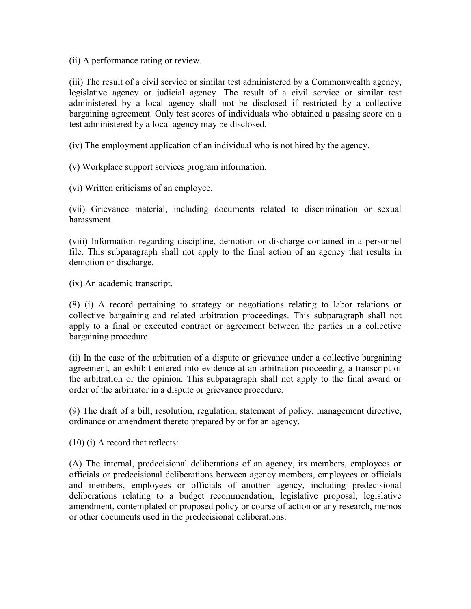(ii) A performance rating or review.

(iii) The result of a civil service or similar test administered by a Commonwealth agency, legislative agency or judicial agency. The result of a civil service or similar test administered by a local agency shall not be disclosed if restricted by a collective bargaining agreement. Only test scores of individuals who obtained a passing score on a test administered by a local agency may be disclosed.

(iv) The employment application of an individual who is not hired by the agency.

(v) Workplace support services program information.

(vi) Written criticisms of an employee.

(vii) Grievance material, including documents related to discrimination or sexual harassment.

(viii) Information regarding discipline, demotion or discharge contained in a personnel file. This subparagraph shall not apply to the final action of an agency that results in demotion or discharge.

(ix) An academic transcript.

(8) (i) A record pertaining to strategy or negotiations relating to labor relations or collective bargaining and related arbitration proceedings. This subparagraph shall not apply to a final or executed contract or agreement between the parties in a collective bargaining procedure.

(ii) In the case of the arbitration of a dispute or grievance under a collective bargaining agreement, an exhibit entered into evidence at an arbitration proceeding, a transcript of the arbitration or the opinion. This subparagraph shall not apply to the final award or order of the arbitrator in a dispute or grievance procedure.

(9) The draft of a bill, resolution, regulation, statement of policy, management directive, ordinance or amendment thereto prepared by or for an agency.

(10) (i) A record that reflects:

(A) The internal, predecisional deliberations of an agency, its members, employees or officials or predecisional deliberations between agency members, employees or officials and members, employees or officials of another agency, including predecisional deliberations relating to a budget recommendation, legislative proposal, legislative amendment, contemplated or proposed policy or course of action or any research, memos or other documents used in the predecisional deliberations.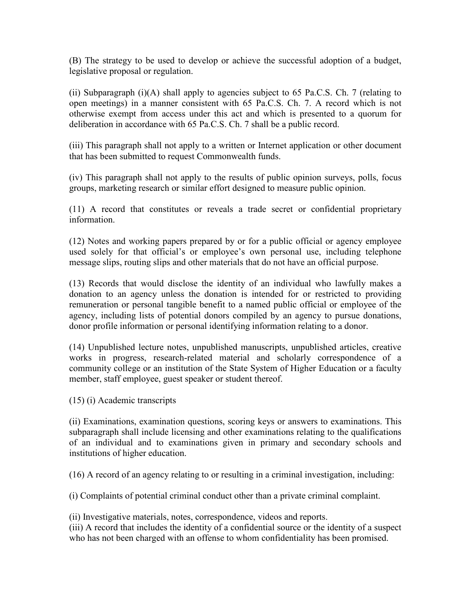(B) The strategy to be used to develop or achieve the successful adoption of a budget, legislative proposal or regulation.

(ii) Subparagraph (i)(A) shall apply to agencies subject to 65 Pa.C.S. Ch. 7 (relating to open meetings) in a manner consistent with 65 Pa.C.S. Ch. 7. A record which is not otherwise exempt from access under this act and which is presented to a quorum for deliberation in accordance with 65 Pa.C.S. Ch. 7 shall be a public record.

(iii) This paragraph shall not apply to a written or Internet application or other document that has been submitted to request Commonwealth funds.

(iv) This paragraph shall not apply to the results of public opinion surveys, polls, focus groups, marketing research or similar effort designed to measure public opinion.

(11) A record that constitutes or reveals a trade secret or confidential proprietary information.

(12) Notes and working papers prepared by or for a public official or agency employee used solely for that official's or employee's own personal use, including telephone message slips, routing slips and other materials that do not have an official purpose.

(13) Records that would disclose the identity of an individual who lawfully makes a donation to an agency unless the donation is intended for or restricted to providing remuneration or personal tangible benefit to a named public official or employee of the agency, including lists of potential donors compiled by an agency to pursue donations, donor profile information or personal identifying information relating to a donor.

(14) Unpublished lecture notes, unpublished manuscripts, unpublished articles, creative works in progress, research-related material and scholarly correspondence of a community college or an institution of the State System of Higher Education or a faculty member, staff employee, guest speaker or student thereof.

(15) (i) Academic transcripts

(ii) Examinations, examination questions, scoring keys or answers to examinations. This subparagraph shall include licensing and other examinations relating to the qualifications of an individual and to examinations given in primary and secondary schools and institutions of higher education.

(16) A record of an agency relating to or resulting in a criminal investigation, including:

(i) Complaints of potential criminal conduct other than a private criminal complaint.

(ii) Investigative materials, notes, correspondence, videos and reports.

(iii) A record that includes the identity of a confidential source or the identity of a suspect who has not been charged with an offense to whom confidentiality has been promised.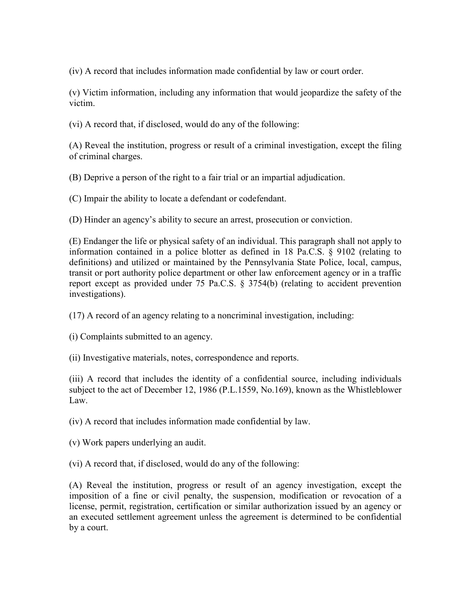(iv) A record that includes information made confidential by law or court order.

(v) Victim information, including any information that would jeopardize the safety of the victim.

(vi) A record that, if disclosed, would do any of the following:

(A) Reveal the institution, progress or result of a criminal investigation, except the filing of criminal charges.

(B) Deprive a person of the right to a fair trial or an impartial adjudication.

(C) Impair the ability to locate a defendant or codefendant.

(D) Hinder an agency's ability to secure an arrest, prosecution or conviction.

(E) Endanger the life or physical safety of an individual. This paragraph shall not apply to information contained in a police blotter as defined in 18 Pa.C.S. § 9102 (relating to definitions) and utilized or maintained by the Pennsylvania State Police, local, campus, transit or port authority police department or other law enforcement agency or in a traffic report except as provided under 75 Pa.C.S. § 3754(b) (relating to accident prevention investigations).

(17) A record of an agency relating to a noncriminal investigation, including:

(i) Complaints submitted to an agency.

(ii) Investigative materials, notes, correspondence and reports.

(iii) A record that includes the identity of a confidential source, including individuals subject to the act of December 12, 1986 (P.L.1559, No.169), known as the Whistleblower Law.

(iv) A record that includes information made confidential by law.

(v) Work papers underlying an audit.

(vi) A record that, if disclosed, would do any of the following:

(A) Reveal the institution, progress or result of an agency investigation, except the imposition of a fine or civil penalty, the suspension, modification or revocation of a license, permit, registration, certification or similar authorization issued by an agency or an executed settlement agreement unless the agreement is determined to be confidential by a court.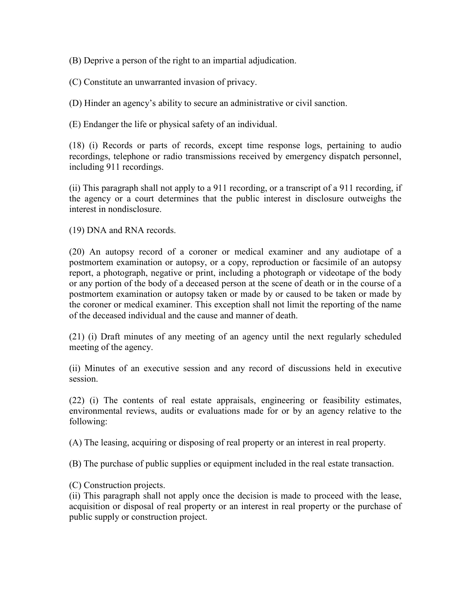(B) Deprive a person of the right to an impartial adjudication.

(C) Constitute an unwarranted invasion of privacy.

(D) Hinder an agency's ability to secure an administrative or civil sanction.

(E) Endanger the life or physical safety of an individual.

(18) (i) Records or parts of records, except time response logs, pertaining to audio recordings, telephone or radio transmissions received by emergency dispatch personnel, including 911 recordings.

(ii) This paragraph shall not apply to a 911 recording, or a transcript of a 911 recording, if the agency or a court determines that the public interest in disclosure outweighs the interest in nondisclosure.

(19) DNA and RNA records.

(20) An autopsy record of a coroner or medical examiner and any audiotape of a postmortem examination or autopsy, or a copy, reproduction or facsimile of an autopsy report, a photograph, negative or print, including a photograph or videotape of the body or any portion of the body of a deceased person at the scene of death or in the course of a postmortem examination or autopsy taken or made by or caused to be taken or made by the coroner or medical examiner. This exception shall not limit the reporting of the name of the deceased individual and the cause and manner of death.

(21) (i) Draft minutes of any meeting of an agency until the next regularly scheduled meeting of the agency.

(ii) Minutes of an executive session and any record of discussions held in executive session.

(22) (i) The contents of real estate appraisals, engineering or feasibility estimates, environmental reviews, audits or evaluations made for or by an agency relative to the following:

(A) The leasing, acquiring or disposing of real property or an interest in real property.

(B) The purchase of public supplies or equipment included in the real estate transaction.

(C) Construction projects.

(ii) This paragraph shall not apply once the decision is made to proceed with the lease, acquisition or disposal of real property or an interest in real property or the purchase of public supply or construction project.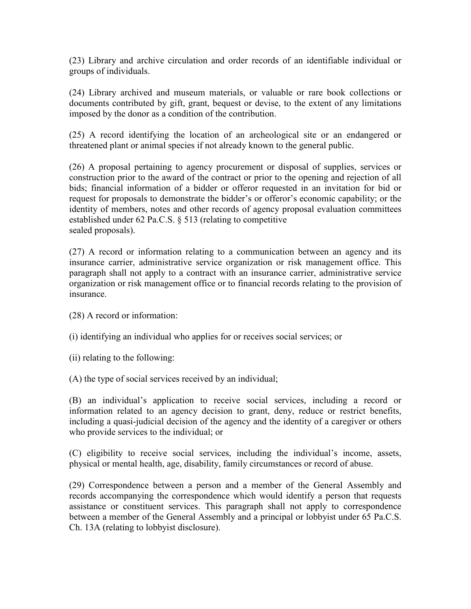(23) Library and archive circulation and order records of an identifiable individual or groups of individuals.

(24) Library archived and museum materials, or valuable or rare book collections or documents contributed by gift, grant, bequest or devise, to the extent of any limitations imposed by the donor as a condition of the contribution.

(25) A record identifying the location of an archeological site or an endangered or threatened plant or animal species if not already known to the general public.

(26) A proposal pertaining to agency procurement or disposal of supplies, services or construction prior to the award of the contract or prior to the opening and rejection of all bids; financial information of a bidder or offeror requested in an invitation for bid or request for proposals to demonstrate the bidder's or offeror's economic capability; or the identity of members, notes and other records of agency proposal evaluation committees established under 62 Pa.C.S. § 513 (relating to competitive sealed proposals).

(27) A record or information relating to a communication between an agency and its insurance carrier, administrative service organization or risk management office. This paragraph shall not apply to a contract with an insurance carrier, administrative service organization or risk management office or to financial records relating to the provision of insurance.

(28) A record or information:

(i) identifying an individual who applies for or receives social services; or

(ii) relating to the following:

(A) the type of social services received by an individual;

(B) an individual's application to receive social services, including a record or information related to an agency decision to grant, deny, reduce or restrict benefits, including a quasi-judicial decision of the agency and the identity of a caregiver or others who provide services to the individual; or

(C) eligibility to receive social services, including the individual's income, assets, physical or mental health, age, disability, family circumstances or record of abuse.

(29) Correspondence between a person and a member of the General Assembly and records accompanying the correspondence which would identify a person that requests assistance or constituent services. This paragraph shall not apply to correspondence between a member of the General Assembly and a principal or lobbyist under 65 Pa.C.S. Ch. 13A (relating to lobbyist disclosure).